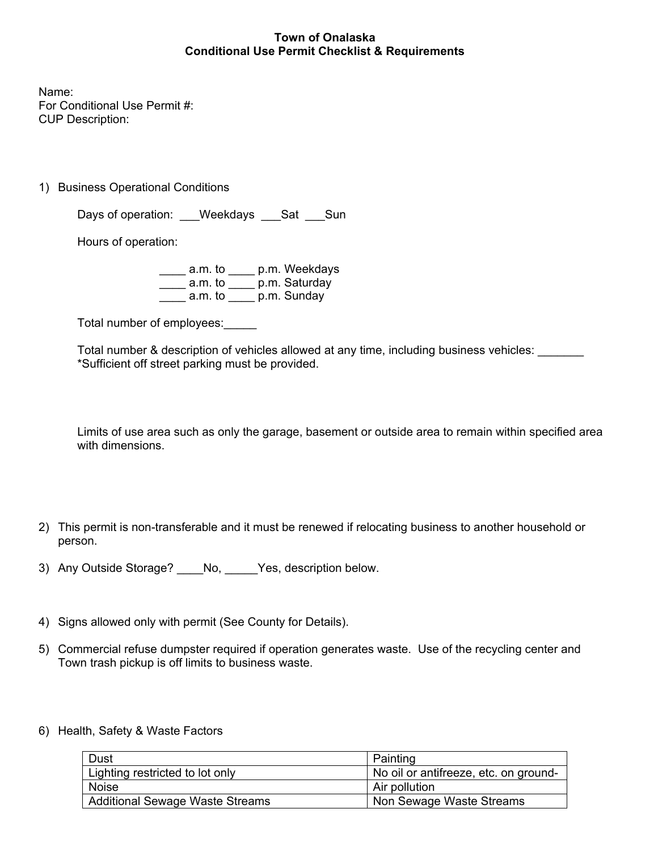## **Town of Onalaska Conditional Use Permit Checklist & Requirements**

Name: For Conditional Use Permit #: CUP Description:

1) Business Operational Conditions

Days of operation: Weekdays Sat Sun

Hours of operation:

\_\_\_\_ a.m. to \_\_\_\_ p.m. Weekdays \_\_\_\_ a.m. to \_\_\_\_ p.m. Saturday  $\frac{1}{\sqrt{2}}$  a.m. to  $\frac{1}{\sqrt{2}}$  p.m. Sunday

Total number of employees:\_\_\_\_\_

Total number & description of vehicles allowed at any time, including business vehicles: \_\_\_\_\_\_\_ \*Sufficient off street parking must be provided.

Limits of use area such as only the garage, basement or outside area to remain within specified area with dimensions.

- 2) This permit is non-transferable and it must be renewed if relocating business to another household or person.
- 3) Any Outside Storage? \_\_\_\_No, \_\_\_\_\_Yes, description below.
- 4) Signs allowed only with permit (See County for Details).
- 5) Commercial refuse dumpster required if operation generates waste. Use of the recycling center and Town trash pickup is off limits to business waste.
- 6) Health, Safety & Waste Factors

| Dust                                   | Painting                              |
|----------------------------------------|---------------------------------------|
| Lighting restricted to lot only        | No oil or antifreeze, etc. on ground- |
| Noise                                  | Air pollution                         |
| <b>Additional Sewage Waste Streams</b> | Non Sewage Waste Streams              |